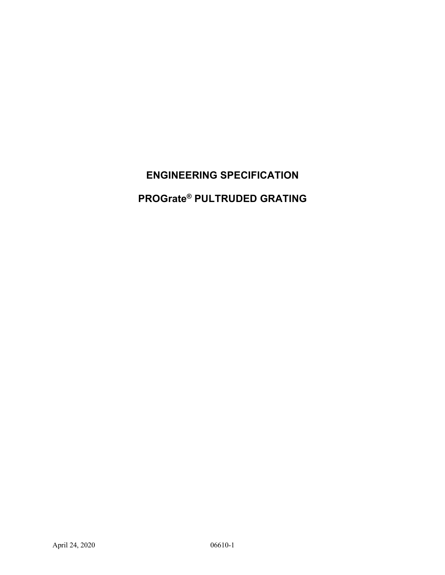# **ENGINEERING SPECIFICATION**

**PROGrate® PULTRUDED GRATING**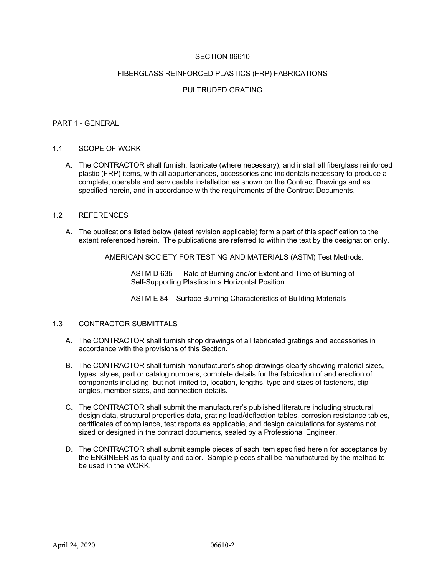## SECTION 06610

#### FIBERGLASS REINFORCED PLASTICS (FRP) FABRICATIONS

## PULTRUDED GRATING

#### PART 1 - GENERAL

#### 1.1 SCOPE OF WORK

A. The CONTRACTOR shall furnish, fabricate (where necessary), and install all fiberglass reinforced plastic (FRP) items, with all appurtenances, accessories and incidentals necessary to produce a complete, operable and serviceable installation as shown on the Contract Drawings and as specified herein, and in accordance with the requirements of the Contract Documents.

## 1.2 REFERENCES

A. The publications listed below (latest revision applicable) form a part of this specification to the extent referenced herein. The publications are referred to within the text by the designation only.

AMERICAN SOCIETY FOR TESTING AND MATERIALS (ASTM) Test Methods:

ASTM D 635 Rate of Burning and/or Extent and Time of Burning of Self-Supporting Plastics in a Horizontal Position

ASTM E 84 Surface Burning Characteristics of Building Materials

## 1.3 CONTRACTOR SUBMITTALS

- A. The CONTRACTOR shall furnish shop drawings of all fabricated gratings and accessories in accordance with the provisions of this Section.
- B. The CONTRACTOR shall furnish manufacturer's shop drawings clearly showing material sizes, types, styles, part or catalog numbers, complete details for the fabrication of and erection of components including, but not limited to, location, lengths, type and sizes of fasteners, clip angles, member sizes, and connection details.
- C. The CONTRACTOR shall submit the manufacturer's published literature including structural design data, structural properties data, grating load/deflection tables, corrosion resistance tables, certificates of compliance, test reports as applicable, and design calculations for systems not sized or designed in the contract documents, sealed by a Professional Engineer.
- D. The CONTRACTOR shall submit sample pieces of each item specified herein for acceptance by the ENGINEER as to quality and color. Sample pieces shall be manufactured by the method to be used in the WORK.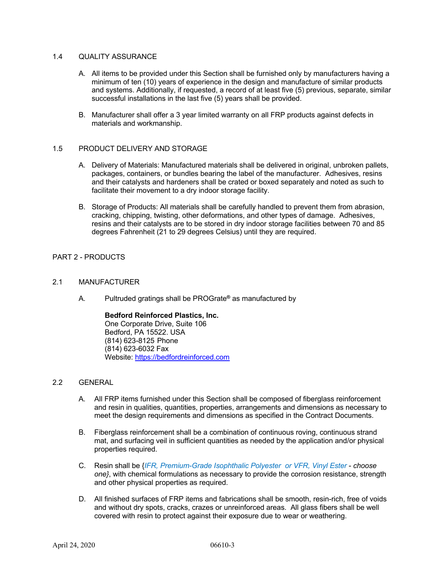## 1.4 QUALITY ASSURANCE

- A. All items to be provided under this Section shall be furnished only by manufacturers having a minimum of ten (10) years of experience in the design and manufacture of similar products and systems. Additionally, if requested, a record of at least five (5) previous, separate, similar successful installations in the last five (5) years shall be provided.
- B. Manufacturer shall offer a 3 year limited warranty on all FRP products against defects in materials and workmanship.

## 1.5 PRODUCT DELIVERY AND STORAGE

- A. Delivery of Materials: Manufactured materials shall be delivered in original, unbroken pallets, packages, containers, or bundles bearing the label of the manufacturer. Adhesives, resins and their catalysts and hardeners shall be crated or boxed separately and noted as such to facilitate their movement to a dry indoor storage facility.
- B. Storage of Products: All materials shall be carefully handled to prevent them from abrasion, cracking, chipping, twisting, other deformations, and other types of damage. Adhesives, resins and their catalysts are to be stored in dry indoor storage facilities between 70 and 85 degrees Fahrenheit (21 to 29 degrees Celsius) until they are required.

# PART 2 - PRODUCTS

#### 2.1 MANUFACTURER

A. Pultruded gratings shall be PROGrate**®** as manufactured by

**Bedford Reinforced Plastics, Inc.** One Corporate Drive, Suite 106 Bedford, PA 15522. USA (814) 623-8125 Phone (814) 623-6032 Fax Website: https://bedfordreinforced.com

## 2.2 GENERAL

- A. All FRP items furnished under this Section shall be composed of fiberglass reinforcement and resin in qualities, quantities, properties, arrangements and dimensions as necessary to meet the design requirements and dimensions as specified in the Contract Documents.
- B. Fiberglass reinforcement shall be a combination of continuous roving, continuous strand mat, and surfacing veil in sufficient quantities as needed by the application and/or physical properties required.
- C. Resin shall be {*IFR, Premium-Grade Isophthalic Polyester or VFR, Vinyl Ester choose one}*, with chemical formulations as necessary to provide the corrosion resistance, strength and other physical properties as required.
- D. All finished surfaces of FRP items and fabrications shall be smooth, resin-rich, free of voids and without dry spots, cracks, crazes or unreinforced areas. All glass fibers shall be well covered with resin to protect against their exposure due to wear or weathering.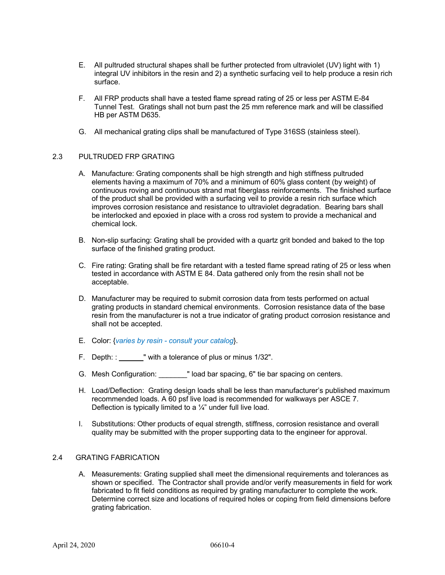- E. All pultruded structural shapes shall be further protected from ultraviolet (UV) light with 1) integral UV inhibitors in the resin and 2) a synthetic surfacing veil to help produce a resin rich surface.
- F. All FRP products shall have a tested flame spread rating of 25 or less per ASTM E-84 Tunnel Test. Gratings shall not burn past the 25 mm reference mark and will be classified HB per ASTM D635.
- G. All mechanical grating clips shall be manufactured of Type 316SS (stainless steel).

# 2.3 PULTRUDED FRP GRATING

- A. Manufacture: Grating components shall be high strength and high stiffness pultruded elements having a maximum of 70% and a minimum of 60% glass content (by weight) of continuous roving and continuous strand mat fiberglass reinforcements. The finished surface of the product shall be provided with a surfacing veil to provide a resin rich surface which improves corrosion resistance and resistance to ultraviolet degradation. Bearing bars shall be interlocked and epoxied in place with a cross rod system to provide a mechanical and chemical lock.
- B. Non-slip surfacing: Grating shall be provided with a quartz grit bonded and baked to the top surface of the finished grating product.
- C. Fire rating: Grating shall be fire retardant with a tested flame spread rating of 25 or less when tested in accordance with ASTM E 84. Data gathered only from the resin shall not be acceptable.
- D. Manufacturer may be required to submit corrosion data from tests performed on actual grating products in standard chemical environments. Corrosion resistance data of the base resin from the manufacturer is not a true indicator of grating product corrosion resistance and shall not be accepted.
- E. Color: {*varies by resin consult your catalog*}.
- F. Depth: : " with a tolerance of plus or minus 1/32".
- G. Mesh Configuration: \_\_\_\_\_\_\_" load bar spacing, 6" tie bar spacing on centers.
- H. Load/Deflection: Grating design loads shall be less than manufacturer's published maximum recommended loads. A 60 psf live load is recommended for walkways per ASCE 7. Deflection is typically limited to a  $\frac{1}{4}$ " under full live load.
- I. Substitutions: Other products of equal strength, stiffness, corrosion resistance and overall quality may be submitted with the proper supporting data to the engineer for approval.

## 2.4 GRATING FABRICATION

A. Measurements: Grating supplied shall meet the dimensional requirements and tolerances as shown or specified. The Contractor shall provide and/or verify measurements in field for work fabricated to fit field conditions as required by grating manufacturer to complete the work. Determine correct size and locations of required holes or coping from field dimensions before grating fabrication.